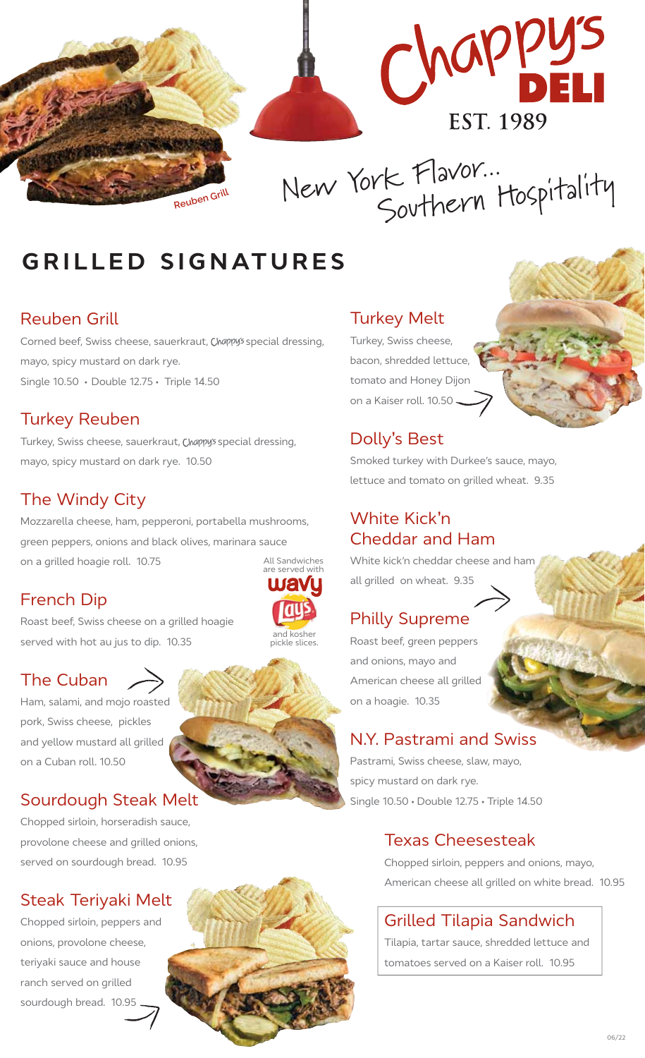

# **GRILLED SIGNATURES**

#### Reuben Grill

Corned beef, Swiss cheese, sauerkraut, Chappy's special dressing, mayo, spicy mustard on dark rye. Single 10.50 • Double 12.75 • Triple 14.50

### Turkey Reuben

Turkey, Swiss cheese, sauerkraut, Chappy's special dressing, mayo, spicy mustard on dark rye.10.50

### The Windy City

Mozzarella cheese, ham, pepperoni, portabella mushrooms, green peppers, onions and black olives, marinara sauce on a grilled hoagie roll. 10.75 All Sandwiches

### French Dip

Roast beef, Swiss cheese on a grilled hoagie served with hot au jus to dip. 10.35

### The Cuban

Ham, salami, and mojo roasted pork, Swiss cheese, pickles and yellow mustard all grilled on a Cuban roll. 10.50

### Sourdough Steak Melt

Chopped sirloin, horseradish sauce, provolone cheese and grilled onions, served on sourdough bread. 10.95

### Steak Teriyaki Melt

Chopped sirloin, peppers and onions, provolone cheese, teriyaki sauce and house ranch served on grilled sourdough bread. 10.95

### Turkey Melt

Turkey, Swiss cheese, bacon, shredded lettuce, tomato and Honey Dijon on a Kaiser roll. 10.50

### Dolly**'**s Best

Smoked turkey with Durkee's sauce, mayo, lettuce and tomato on grilled wheat. 9.35

#### White Kick**'**n Cheddar and Ham

White kick'n cheddar cheese and ham all grilled on wheat. 9.35

### Philly Supreme

Roast beef, green peppers and onions, mayo and American cheese all grilled on a hoagie. 10.35

### N.Y. Pastrami and Swiss

Pastrami, Swiss cheese, slaw, mayo, spicy mustard on dark rye. Single 10.50 • Double 12.75 • Triple 14.50

### Texas Cheesesteak

Chopped sirloin, peppers and onions, mayo, American cheese all grilled on white bread. 10.95

### Grilled Tilapia Sandwich

Tilapia, tartar sauce, shredded lettuce and tomatoes served on a Kaiser roll. 10.95







and kosher pickle slices.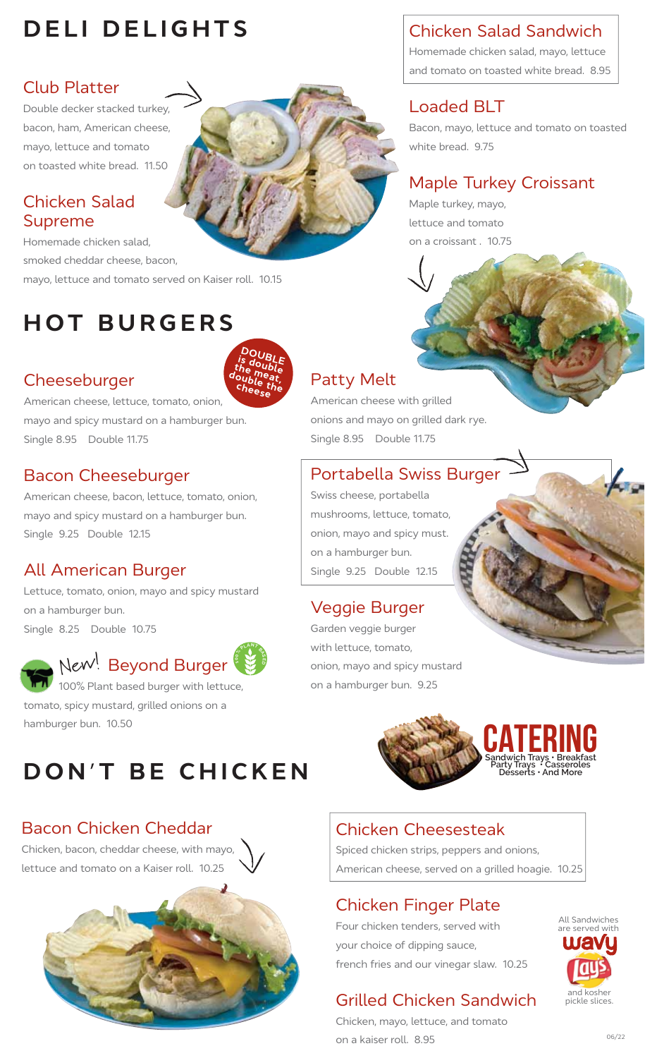# **DELI DELIGHTS**

### Club Platter

Double decker stacked turkey, bacon, ham, American cheese, mayo, lettuce and tomato on toasted white bread. 11.50

### Chicken Salad Supreme

Homemade chicken salad, smoked cheddar cheese, bacon, mayo, lettuce and tomato served on Kaiser roll. 10.15

# **HOT BURGERS**

### **Cheeseburger**



American cheese, lettuce, tomato, onion, mayo and spicy mustard on a hamburger bun. Single 8.95 Double 11.75

### Bacon Cheeseburger

American cheese, bacon, lettuce, tomato, onion, mayo and spicy mustard on a hamburger bun. Single 9.25 Double 12.15

### All American Burger

Lettuce, tomato, onion, mayo and spicy mustard on a hamburger bun. Single 8.25 Double 10.75



#### New<sup>!</sup> Beyond Burger **PLANT**

 100% Plant based burger with lettuce, tomato, spicy mustard, grilled onions on a hamburger bun. 10.50

# **DON'T BE CHICKEN**

# Bacon Chicken Cheddar

Chicken, bacon, cheddar cheese, with mayo, lettuce and tomato on a Kaiser roll. 10.25



# Chicken Salad Sandwich

Homemade chicken salad, mayo, lettuce and tomato on toasted white bread. 8.95

### Loaded BLT

Bacon, mayo, lettuce and tomato on toasted white bread. 9.75

### Maple Turkey Croissant

Maple turkey, mayo, lettuce and tomato on a croissant . 10.75

# Patty Melt

American cheese with grilled onions and mayo on grilled dark rye. Single 8.95 Double 11.75

### Portabella Swiss Burger

Swiss cheese, portabella mushrooms, lettuce, tomato, onion, mayo and spicy must. on a hamburger bun. Single 9.25 Double 12.15

### Veggie Burger

Garden veggie burger with lettuce, tomato, onion, mayo and spicy mustard on a hamburger bun. 9.25



**Sandwich Trays • Breakfast Party Trays • Casseroles Desserts • And More** CATERING

### Chicken Cheesesteak

Spiced chicken strips, peppers and onions, American cheese, served on a grilled hoagie. 10.25

### Chicken Finger Plate

Four chicken tenders, served with your choice of dipping sauce, french fries and our vinegar slaw. 10.25

# Grilled Chicken Sandwich

Chicken, mayo, lettuce, and tomato on a kaiser roll. 8.95

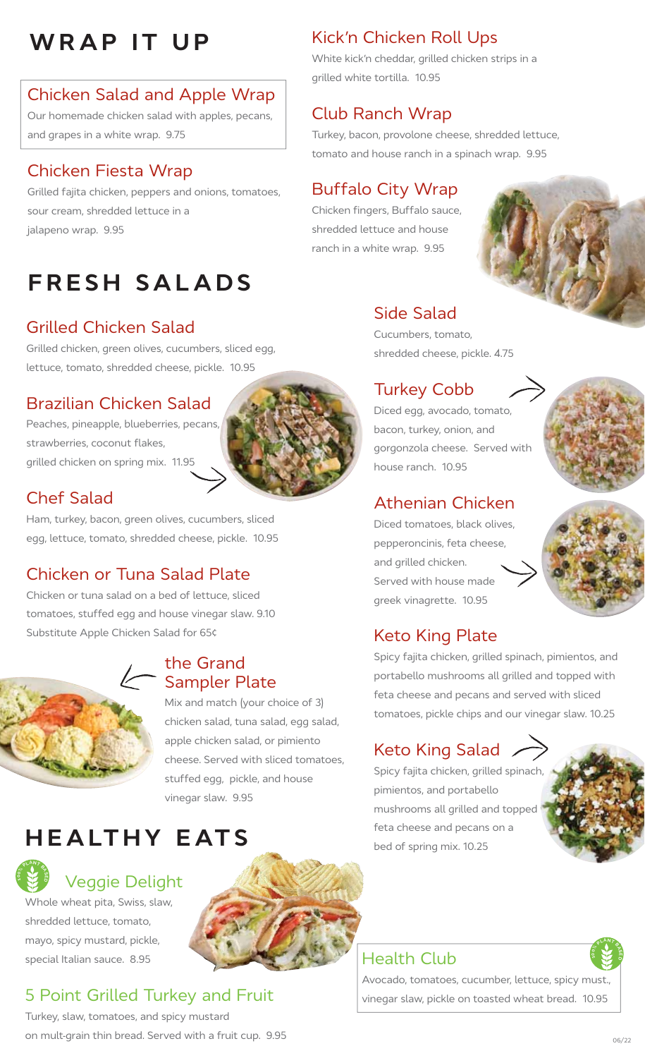# **WRAP IT UP** Kick'n Chicken Roll Ups

# Chicken Salad and Apple Wrap

Our homemade chicken salad with apples, pecans, and grapes in a white wrap. 9.75

# Chicken Fiesta Wrap

Grilled fajita chicken, peppers and onions, tomatoes, sour cream, shredded lettuce in a jalapeno wrap. 9.95

# **FRESH SALADS**

# Grilled Chicken Salad

Grilled chicken, green olives, cucumbers, sliced egg, lettuce, tomato, shredded cheese, pickle. 10.95

### Brazilian Chicken Salad

Peaches, pineapple, blueberries, pecans, strawberries, coconut flakes, grilled chicken on spring mix. 11.95



### Chef Salad

Ham, turkey, bacon, green olives, cucumbers, sliced egg, lettuce, tomato, shredded cheese, pickle. 10.95

### Chicken or Tuna Salad Plate

Chicken or tuna salad on a bed of lettuce, sliced tomatoes, stuffed egg and house vinegar slaw. 9.10 Substitute Apple Chicken Salad for 65¢



**PLANT** 

### the Grand Exampler Plate

Mix and match (your choice of 3) chicken salad, tuna salad, egg salad, apple chicken salad, or pimiento cheese. Served with sliced tomatoes, stuffed egg, pickle, and house vinegar slaw. 9.95

# **HEALTHY EATS**

# Veggie Delight

Whole wheat pita, Swiss, slaw, shredded lettuce, tomato, mayo, spicy mustard, pickle, special Italian sauce. 8.95

# 5 Point Grilled Turkey and Fruit

Turkey, slaw, tomatoes, and spicy mustard on mult-grain thin bread. Served with a fruit cup. 9.95

White kick'n cheddar, grilled chicken strips in a grilled white tortilla. 10.95

# Club Ranch Wrap

Turkey, bacon, provolone cheese, shredded lettuce, tomato and house ranch in a spinach wrap. 9.95

# Buffalo City Wrap

Chicken fingers, Buffalo sauce, shredded lettuce and house ranch in a white wrap. 9.95



# Side Salad

Cucumbers, tomato, shredded cheese, pickle. 4.75

### Turkey Cobb

Diced egg, avocado, tomato, bacon, turkey, onion, and gorgonzola cheese. Served with house ranch. 10.95

### Athenian Chicken

Diced tomatoes, black olives, pepperoncinis, feta cheese, and grilled chicken. Served with house made greek vinagrette. 10.95



# Keto King Plate

Spicy fajita chicken, grilled spinach, pimientos, and portabello mushrooms all grilled and topped with feta cheese and pecans and served with sliced tomatoes, pickle chips and our vinegar slaw. 10.25

### Keto King Salad

Spicy fajita chicken, grilled spinach, pimientos, and portabello mushrooms all grilled and topped feta cheese and pecans on a bed of spring mix. 10.25



Avocado, tomatoes, cucumber, lettuce, spicy must., vinegar slaw, pickle on toasted wheat bread. 10.95



**1B D B D D B D D B D B D B D B D B D B D**